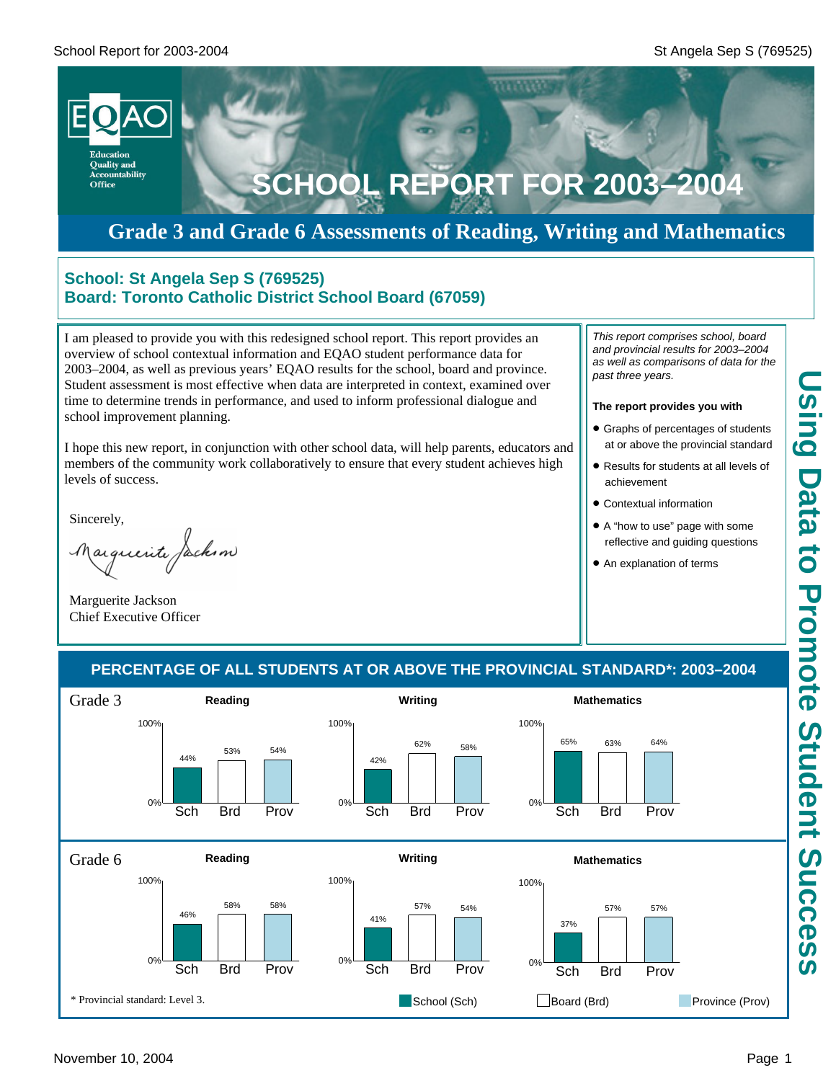

# **Grade 3 and Grade 6 Assessments of Reading, Writing and Mathematics**

### **School: St Angela Sep S (769525) Board: Toronto Catholic District School Board (67059)**

I am pleased to provide you with this redesigned school report. This report provides an overview of school contextual information and EQAO student performance data for 2003–2004, as well as previous years' EQAO results for the school, board and province. Student assessment is most effective when data are interpreted in context, examined over time to determine trends in performance, and used to inform professional dialogue and school improvement planning.

I hope this new report, in conjunction with other school data, will help parents, educators and members of the community work collaboratively to ensure that every student achieves high levels of success.

Sincerely,

arguerite facksm

Marguerite Jackson Chief Executive Officer

*This report comprises school, board and provincial results for 2003–2004 as well as comparisons of data for the past three years.*

#### **The report provides you with**

- **Graphs of percentages of students** at or above the provincial standard
- Results for students at all levels of achievement
- **Contextual information**
- A "how to use" page with some reflective and guiding questions
- An explanation of terms

### **PERCENTAGE OF ALL STUDENTS AT OR ABOVE THE PROVINCIAL STANDARD\*: 2003–2004**

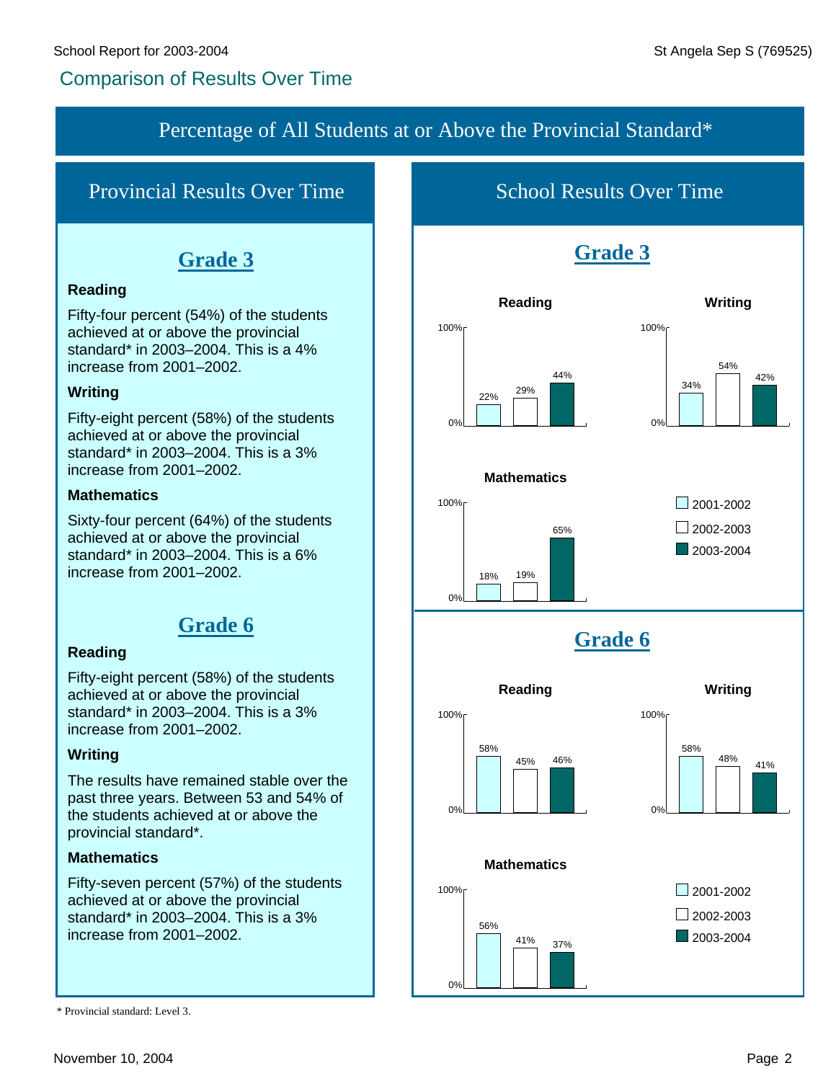# Comparison of Results Over Time

### Percentage of All Students at or Above the Provincial Standard\*

# Provincial Results Over Time

# **Grade 3**

### **Reading**

Fifty-four percent (54%) of the students achieved at or above the provincial standard\* in 2003–2004. This is a 4% increase from 2001–2002.

### **Writing**

Fifty-eight percent (58%) of the students achieved at or above the provincial standard\* in 2003–2004. This is a 3% increase from 2001–2002.

### **Mathematics**

Sixty-four percent (64%) of the students achieved at or above the provincial standard\* in 2003–2004. This is a 6% increase from 2001–2002.

# **Grade 6**

### **Reading**

Fifty-eight percent (58%) of the students achieved at or above the provincial standard\* in 2003–2004. This is a 3% increase from 2001–2002.

### **Writing**

The results have remained stable over the past three years. Between 53 and 54% of the students achieved at or above the provincial standard\*.

### **Mathematics**

Fifty-seven percent (57%) of the students achieved at or above the provincial standard\* in 2003–2004. This is a 3% increase from 2001–2002.

School Results Over Time



#### **Mathematics**



<sup>\*</sup> Provincial standard: Level 3.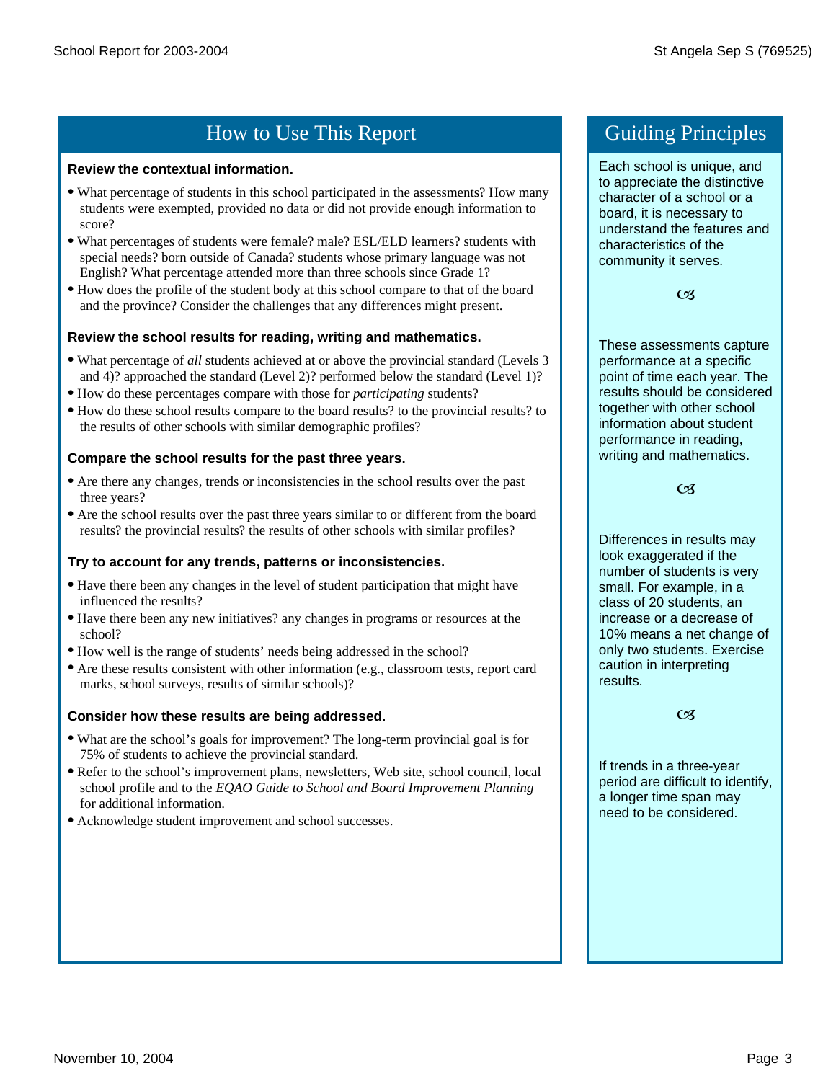# How to Use This Report Guiding Principles

#### **Review the contextual information.**

- · What percentage of students in this school participated in the assessments? How many students were exempted, provided no data or did not provide enough information to score?
- · What percentages of students were female? male? ESL/ELD learners? students with special needs? born outside of Canada? students whose primary language was not English? What percentage attended more than three schools since Grade 1?
- · How does the profile of the student body at this school compare to that of the board and the province? Consider the challenges that any differences might present.

#### **Review the school results for reading, writing and mathematics.**

- · What percentage of *all* students achieved at or above the provincial standard (Levels 3 and 4)? approached the standard (Level 2)? performed below the standard (Level 1)?
- · How do these percentages compare with those for *participating* students?
- · How do these school results compare to the board results? to the provincial results? to the results of other schools with similar demographic profiles?

#### **Compare the school results for the past three years.**

- · Are there any changes, trends or inconsistencies in the school results over the past three years?
- · Are the school results over the past three years similar to or different from the board results? the provincial results? the results of other schools with similar profiles?

#### **Try to account for any trends, patterns or inconsistencies.**

- · Have there been any changes in the level of student participation that might have influenced the results?
- · Have there been any new initiatives? any changes in programs or resources at the school?
- · How well is the range of students' needs being addressed in the school?
- · Are these results consistent with other information (e.g., classroom tests, report card marks, school surveys, results of similar schools)?

#### **Consider how these results are being addressed.**

- · What are the school's goals for improvement? The long-term provincial goal is for 75% of students to achieve the provincial standard.
- · Refer to the school's improvement plans, newsletters, Web site, school council, local school profile and to the *EQAO Guide to School and Board Improvement Planning*  for additional information.
- · Acknowledge student improvement and school successes.

Each school is unique, and to appreciate the distinctive character of a school or a board, it is necessary to understand the features and characteristics of the community it serves.

 $C<sub>3</sub>$ 

These assessments capture performance at a specific point of time each year. The results should be considered together with other school information about student performance in reading, writing and mathematics.

#### $C<sub>3</sub>$

Differences in results may look exaggerated if the number of students is very small. For example, in a class of 20 students, an increase or a decrease of 10% means a net change of only two students. Exercise caution in interpreting results.

#### $C<sub>3</sub>$

If trends in a three-year period are difficult to identify, a longer time span may need to be considered.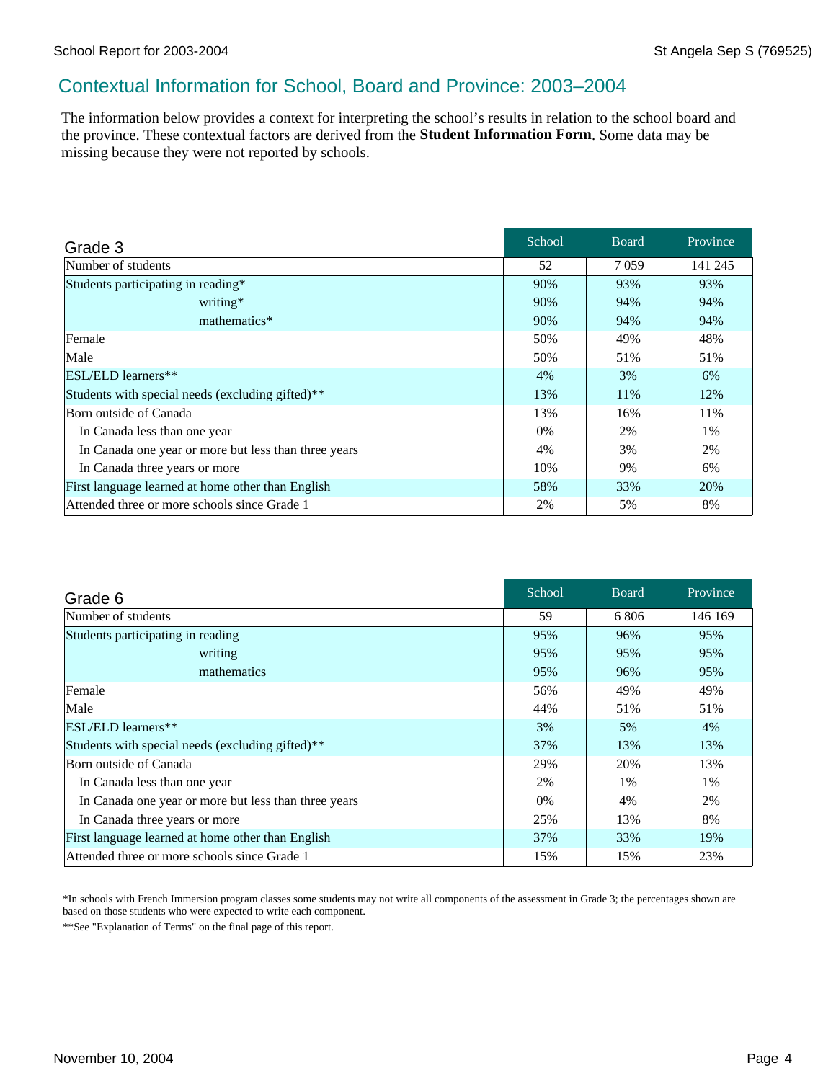### Contextual Information for School, Board and Province: 2003–2004

The information below provides a context for interpreting the school's results in relation to the school board and the province. These contextual factors are derived from the **Student Information Form**. Some data may be missing because they were not reported by schools.

| Grade 3                                              | School | <b>Board</b> | Province |
|------------------------------------------------------|--------|--------------|----------|
| Number of students                                   | 52     | 7059         | 141 245  |
| Students participating in reading*                   | 90%    | 93%          | 93%      |
| writing*                                             | 90%    | 94%          | 94%      |
| mathematics*                                         | 90%    | 94%          | 94%      |
| Female                                               | 50%    | 49%          | 48%      |
| Male                                                 | 50%    | 51%          | 51%      |
| ESL/ELD learners**                                   | 4%     | 3%           | 6%       |
| Students with special needs (excluding gifted)**     | 13%    | 11%          | 12%      |
| Born outside of Canada                               | 13%    | 16%          | 11%      |
| In Canada less than one year                         | 0%     | 2%           | 1%       |
| In Canada one year or more but less than three years | 4%     | 3%           | 2%       |
| In Canada three years or more                        | 10%    | 9%           | 6%       |
| First language learned at home other than English    | 58%    | 33%          | 20%      |
| Attended three or more schools since Grade 1         | 2%     | 5%           | 8%       |

| Grade 6                                              | School | <b>Board</b> | Province |
|------------------------------------------------------|--------|--------------|----------|
| Number of students                                   | 59     | 6806         | 146 169  |
| Students participating in reading                    | 95%    | 96%          | 95%      |
| writing                                              | 95%    | 95%          | 95%      |
| mathematics                                          | 95%    | 96%          | 95%      |
| Female                                               | 56%    | 49%          | 49%      |
| Male                                                 | 44%    | 51%          | 51%      |
| $ ESL/ELD $ learners**                               | 3%     | 5%           | 4%       |
| Students with special needs (excluding gifted)**     | 37%    | 13%          | 13%      |
| Born outside of Canada                               | 29%    | 20%          | 13%      |
| In Canada less than one year                         | 2%     | 1%           | 1%       |
| In Canada one year or more but less than three years | 0%     | 4%           | 2%       |
| In Canada three years or more                        | 25%    | 13%          | 8%       |
| First language learned at home other than English    | 37%    | 33%          | 19%      |
| Attended three or more schools since Grade 1         | 15%    | 15%          | 23%      |

\*In schools with French Immersion program classes some students may not write all components of the assessment in Grade 3; the percentages shown are based on those students who were expected to write each component.

\*\*See "Explanation of Terms" on the final page of this report.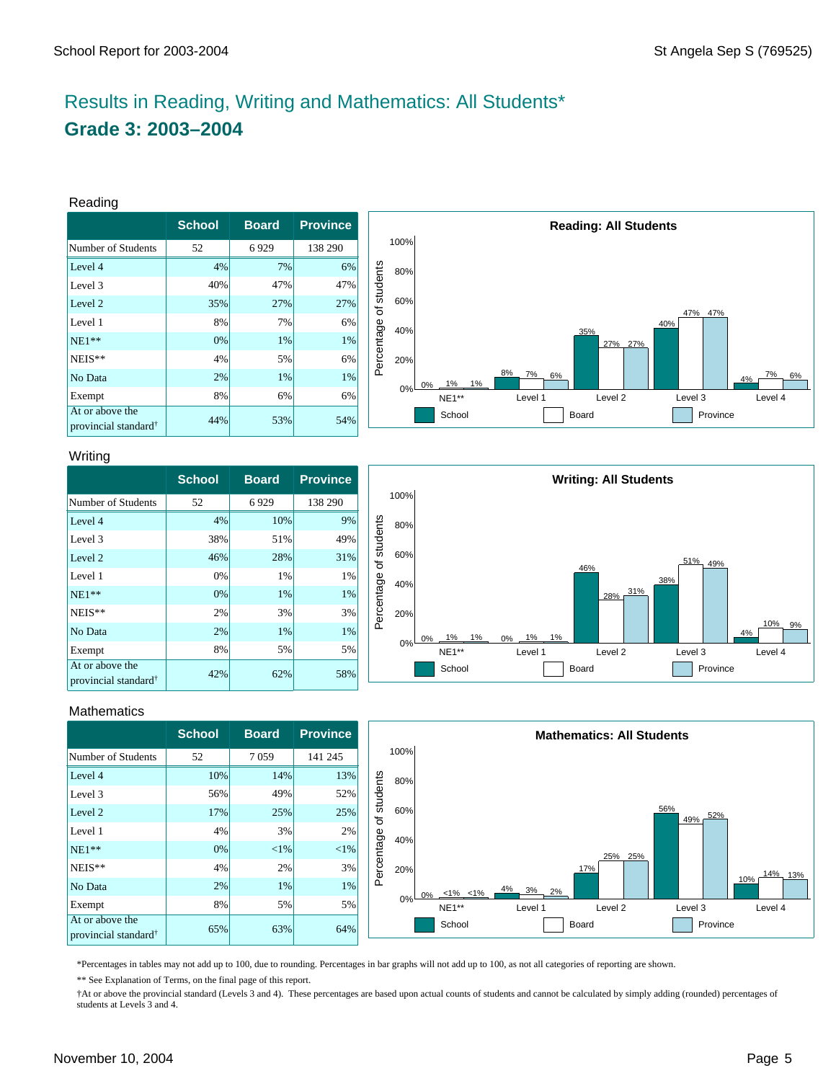# Results in Reading, Writing and Mathematics: All Students\* **Grade 3: 2003–2004**

#### Reading

|                                                     | <b>School</b> | <b>Board</b> | <b>Province</b> |
|-----------------------------------------------------|---------------|--------------|-----------------|
| Number of Students                                  | 52            | 6929         | 138 290         |
| Level 4                                             | 4%            | 7%           | 6%              |
| Level 3                                             | 40%           | 47%          | 47%             |
| Level 2                                             | 35%           | 27%          | 27%             |
| Level 1                                             | 8%            | 7%           | 6%              |
| $NE1**$                                             | 0%            | 1%           | 1%              |
| NEIS**                                              | 4%            | 5%           | 6%              |
| No Data                                             | 2%            | 1%           | 1%              |
| Exempt                                              | 8%            | 6%           | 6%              |
| At or above the<br>provincial standard <sup>†</sup> | 44%           | 53%          | 54%             |



#### Writing

|                                                     | <b>School</b> | <b>Board</b> | <b>Province</b> |
|-----------------------------------------------------|---------------|--------------|-----------------|
| Number of Students                                  | 52            | 6929         | 138 290         |
| Level 4                                             | 4%            | 10%          | 9%              |
| Level 3                                             | 38%           | 51%          | 49%             |
| Level 2                                             | 46%           | 28%          | 31%             |
| Level 1                                             | 0%            | 1%           | 1%              |
| $NE1**$                                             | 0%            | 1%           | 1%              |
| NEIS**                                              | 2%            | 3%           | 3%              |
| No Data                                             | 2%            | 1%           | 1%              |
| Exempt                                              | 8%            | 5%           | 5%              |
| At or above the<br>provincial standard <sup>†</sup> | 42%           | 62%          | 58%             |



#### **Mathematics**

|                                                     | <b>School</b> | <b>Board</b> | <b>Province</b> |            |      |                                        |                        | <b>Mathematics: All Students</b> |                   |         |
|-----------------------------------------------------|---------------|--------------|-----------------|------------|------|----------------------------------------|------------------------|----------------------------------|-------------------|---------|
| Number of Students                                  | 52            | 7059         | 141 245         |            | 100% |                                        |                        |                                  |                   |         |
| Level 4                                             | 10%           | 14%          | 13%             |            | 80%  |                                        |                        |                                  |                   |         |
| Level 3                                             | 56%           | 49%          | 52%             | students   |      |                                        |                        |                                  |                   |         |
| Level 2                                             | 17%           | 25%          | 25%             | ৳          | 60%  |                                        |                        |                                  | 56%<br>52%<br>49% |         |
| Level 1                                             | 4%            | 3%           | 2%              |            | 40%  |                                        |                        |                                  |                   |         |
| $NE1**$                                             | $0\%$         | $< 1\%$      | $<$ 1%          |            |      |                                        |                        | 25% 25%                          |                   |         |
| NEIS**                                              | 4%            | 2%           | 3%              | Percentage | 20%  |                                        |                        | 17%                              |                   | 14% 13% |
| No Data                                             | 2%            | 1%           | 1%              |            |      | 0% $\frac{156}{100}$ $\frac{126}{100}$ | $\frac{4\%}{10}$ 3% 2% |                                  |                   | 10%     |
| Exempt                                              | 8%            | 5%           | 5%              |            | 0%   | NE1**                                  | Level 1                | Level 2                          | Level 3           | Level 4 |
| At or above the<br>provincial standard <sup>†</sup> | 65%           | 63%          | 64%             |            |      | School                                 |                        | Board                            | Province          |         |

\*Percentages in tables may not add up to 100, due to rounding. Percentages in bar graphs will not add up to 100, as not all categories of reporting are shown.

\*\* See Explanation of Terms, on the final page of this report.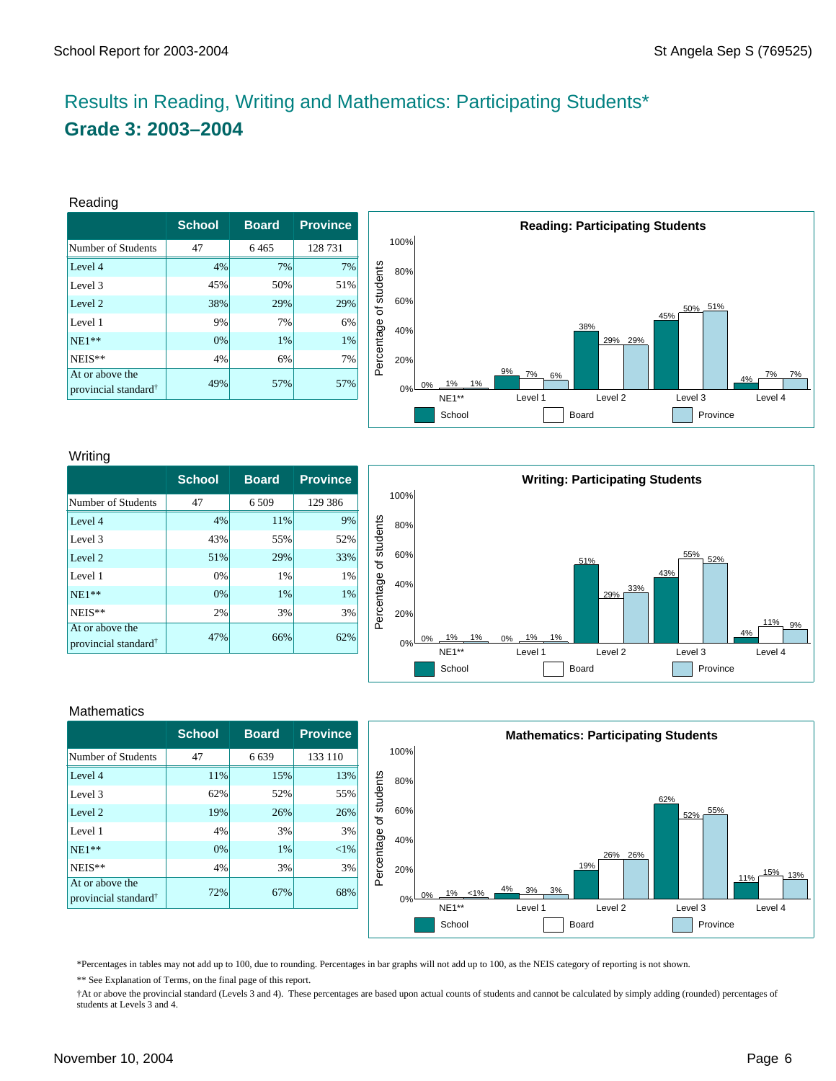# Results in Reading, Writing and Mathematics: Participating Students\* **Grade 3: 2003–2004**

#### Reading

|                                                     | <b>School</b> | <b>Board</b> | <b>Province</b> |
|-----------------------------------------------------|---------------|--------------|-----------------|
| Number of Students                                  | 47            | 6465         | 128 731         |
| Level 4                                             | 4%            | 7%           | 7%              |
| Level 3                                             | 45%           | 50%          | 51%             |
| Level 2                                             | 38%           | 29%          | 29%             |
| Level 1                                             | 9%            | 7%           | 6%              |
| $NE1**$                                             | 0%            | 1%           | 1%              |
| NEIS**                                              | 4%            | 6%           | 7%              |
| At or above the<br>provincial standard <sup>†</sup> | 49%           | 57%          | 57%             |



#### Writing

|                                                     | <b>School</b> | <b>Board</b> | <b>Province</b> |
|-----------------------------------------------------|---------------|--------------|-----------------|
| Number of Students                                  | 47            | 6 5 0 9      | 129 386         |
| Level 4                                             | 4%            | 11%          | 9%              |
| Level 3                                             | 43%           | 55%          | 52%             |
| Level 2                                             | 51%           | 29%          | 33%             |
| Level 1                                             | 0%            | 1%           | 1%              |
| $NE1**$                                             | 0%            | 1%           | 1%              |
| NEIS**                                              | 2%            | 3%           | 3%              |
| At or above the<br>provincial standard <sup>†</sup> | 47%           | 66%          | 62%             |



#### **Mathematics**

|                                                     | <b>School</b> | <b>Board</b> | <b>Province</b> |
|-----------------------------------------------------|---------------|--------------|-----------------|
| Number of Students                                  | 47            | 6639         | 133 110         |
| Level 4                                             | 11%           | 15%          | 13%             |
| Level 3                                             | 62%           | 52%          | 55%             |
| Level 2                                             | 19%           | 26%          | 26%             |
| Level 1                                             | 4%            | 3%           | 3%              |
| $NE1**$                                             | 0%            | 1%           | ${<}1\%$        |
| NEIS**                                              | 4%            | 3%           | 3%              |
| At or above the<br>provincial standard <sup>†</sup> | 72%           | 67%          | 68%             |



\*Percentages in tables may not add up to 100, due to rounding. Percentages in bar graphs will not add up to 100, as the NEIS category of reporting is not shown.

\*\* See Explanation of Terms, on the final page of this report.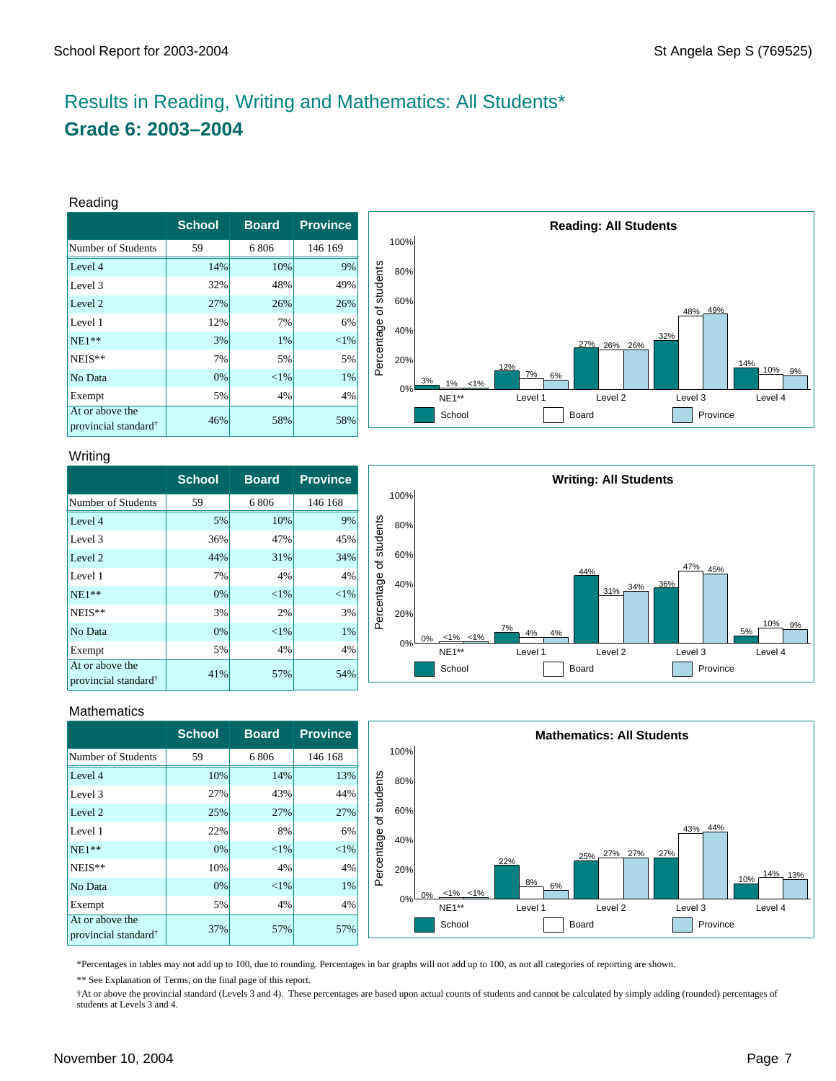# Results in Reading, Writing and Mathematics: All Students\* **Grade 6: 2003–2004**

#### Reading

|                                                     | <b>School</b> | <b>Board</b> | <b>Province</b> |
|-----------------------------------------------------|---------------|--------------|-----------------|
| Number of Students                                  | 59            | 6806         | 146 169         |
| Level 4                                             | 14%           | 10%          | 9%              |
| Level 3                                             | 32%           | 48%          | 49%             |
| Level 2                                             | 27%           | 26%          | 26%             |
| Level 1                                             | 12%           | 7%           | 6%              |
| $NE1**$                                             | 3%            | 1%           | ${<}1\%$        |
| NEIS**                                              | 7%            | 5%           | 5%              |
| No Data                                             | 0%            | ${<}1\%$     | 1%              |
| Exempt                                              | 5%            | 4%           | 4%              |
| At or above the<br>provincial standard <sup>†</sup> | 46%           | 58%          | 58%             |



#### Writing

|                                                     | <b>School</b> | <b>Board</b> | <b>Province</b> |
|-----------------------------------------------------|---------------|--------------|-----------------|
| Number of Students                                  | 59            | 6806         | 146 168         |
| Level 4                                             | 5%            | 10%          | 9%              |
| Level 3                                             | 36%           | 47%          | 45%             |
| Level 2                                             | 44%           | 31%          | 34%             |
| Level 1                                             | 7%            | 4%           | 4%              |
| $NE1**$                                             | 0%            | ${<}1\%$     | $<$ 1%          |
| NEIS**                                              | 3%            | 2%           | 3%              |
| No Data                                             | 0%            | ${<}1\%$     | 1%              |
| Exempt                                              | 5%            | 4%           | 4%              |
| At or above the<br>provincial standard <sup>†</sup> | 41%           | 57%          | 54%             |



#### **Mathematics**

|                                                     | <b>School</b> | <b>Board</b> | <b>Province</b> |            |      |                |          | <b>Mathematics: All Students</b> |          |         |
|-----------------------------------------------------|---------------|--------------|-----------------|------------|------|----------------|----------|----------------------------------|----------|---------|
| Number of Students                                  | 59            | 6 8 0 6      | 146 168         |            | 100% |                |          |                                  |          |         |
| Level 4                                             | 10%           | 14%          | 13%             |            | 80%  |                |          |                                  |          |         |
| Level 3                                             | 27%           | 43%          | 44%             | students   |      |                |          |                                  |          |         |
| Level 2                                             | 25%           | 27%          | 27%             | ৳          | 60%  |                |          |                                  |          |         |
| Level 1                                             | 22%           | 8%           | 6%              |            | 40%  |                |          |                                  | 43% 44%  |         |
| $NE1**$                                             | $0\%$         | $< 1\%$      | $< 1\%$         |            |      |                |          | 27%<br>27%<br>25%.               | 27%      |         |
| NEIS**                                              | 10%           | 4%           | 4%              | Percentage | 20%  |                | 22%      |                                  |          | 14% 13% |
| No Data                                             | 0%            | $< 1\%$      | $1\%$           |            |      | $0\% -1\%$ <1% | 8%<br>6% |                                  |          | 10%     |
| Exempt                                              | 5%            | 4%           | 4%              |            | 0%   | NE1**          | Level 1  | Level 2                          | Level 3  | Level 4 |
| At or above the<br>provincial standard <sup>†</sup> | 37%           | 57%          | 57%             |            |      | School         |          | Board                            | Province |         |

\*Percentages in tables may not add up to 100, due to rounding. Percentages in bar graphs will not add up to 100, as not all categories of reporting are shown.

\*\* See Explanation of Terms, on the final page of this report.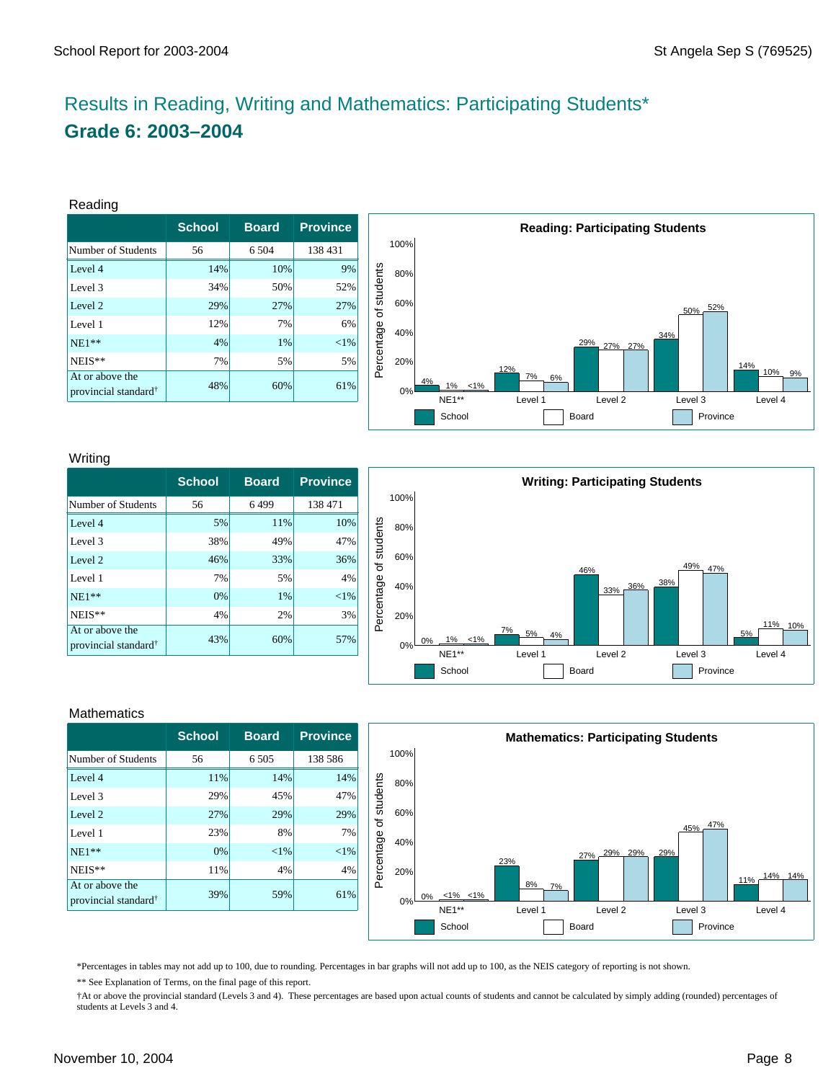# Results in Reading, Writing and Mathematics: Participating Students\* **Grade 6: 2003–2004**

#### Reading

|                                                     | <b>School</b> | <b>Board</b> | <b>Province</b> |
|-----------------------------------------------------|---------------|--------------|-----------------|
| Number of Students                                  | 56            | 6.504        | 138 431         |
| Level 4                                             | 14%           | 10%          | 9%              |
| Level 3                                             | 34%           | 50%          | 52%             |
| Level 2                                             | 29%           | 27%          | 27%             |
| Level 1                                             | 12%           | 7%           | 6%              |
| $NE1**$                                             | 4%            | 1%           | $<$ 1%          |
| NEIS**                                              | 7%            | 5%           | 5%              |
| At or above the<br>provincial standard <sup>†</sup> | 48%           | 60%          | 61%             |



#### Writing

|                                                     | <b>School</b> | <b>Board</b> | <b>Province</b> |
|-----------------------------------------------------|---------------|--------------|-----------------|
| Number of Students                                  | 56            | 6499         | 138 471         |
| Level 4                                             | 5%            | 11%          | 10%             |
| Level 3                                             | 38%           | 49%          | 47%             |
| Level 2                                             | 46%           | 33%          | 36%             |
| Level 1                                             | 7%            | 5%           | 4%              |
| $NE1**$                                             | 0%            | 1%           | ${<}1\%$        |
| NEIS**                                              | 4%            | 2%           | 3%              |
| At or above the<br>provincial standard <sup>†</sup> | 43%           | 60%          | 57%             |



#### **Mathematics**

|                                                     | <b>School</b> | <b>Board</b> | <b>Province</b> |
|-----------------------------------------------------|---------------|--------------|-----------------|
| Number of Students                                  | 56            | 6 5 0 5      | 138 586         |
| Level 4                                             | 11%           | 14%          | 14%             |
| Level 3                                             | 29%           | 45%          | 47%             |
| Level 2                                             | 27%           | 29%          | 29%             |
| Level 1                                             | 23%           | 8%           | 7%              |
| $NE1**$                                             | 0%            | ${<}1\%$     | ${<}1\%$        |
| NEIS**                                              | 11%           | 4%           | 4%              |
| At or above the<br>provincial standard <sup>†</sup> | 39%           | 59%          | 61%             |



\*Percentages in tables may not add up to 100, due to rounding. Percentages in bar graphs will not add up to 100, as the NEIS category of reporting is not shown.

\*\* See Explanation of Terms, on the final page of this report.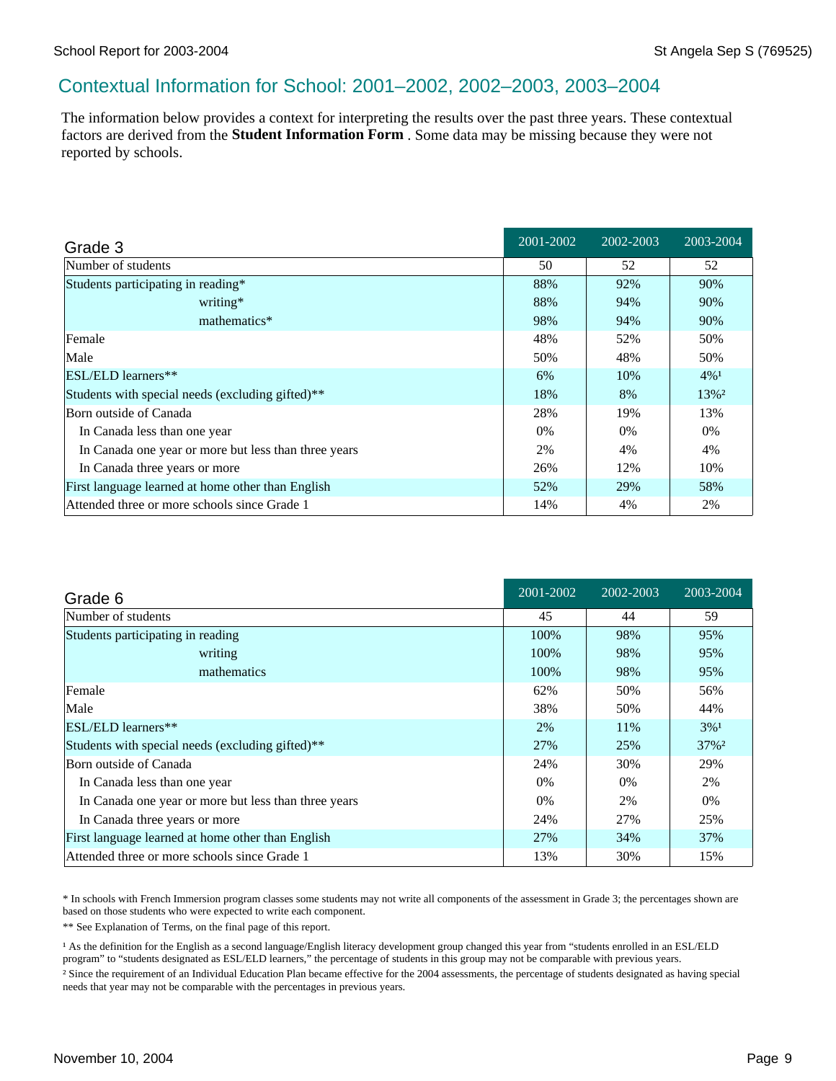### Contextual Information for School: 2001–2002, 2002–2003, 2003–2004

The information below provides a context for interpreting the results over the past three years. These contextual factors are derived from the **Student Information Form** . Some data may be missing because they were not reported by schools.

| Grade 3                                              | 2001-2002 | 2002-2003 | 2003-2004 |
|------------------------------------------------------|-----------|-----------|-----------|
| Number of students                                   | 50        | 52        | 52        |
| Students participating in reading*                   | 88%       | 92%       | 90%       |
| writing*                                             | 88%       | 94%       | 90%       |
| mathematics*                                         | 98%       | 94%       | 90%       |
| Female                                               | 48%       | 52%       | 50%       |
| Male                                                 | 50%       | 48%       | 50%       |
| <b>ESL/ELD</b> learners**                            | 6%        | 10%       | $4\%1$    |
| Students with special needs (excluding gifted)**     | 18%       | 8%        | 13%2      |
| Born outside of Canada                               | 28%       | 19%       | 13%       |
| In Canada less than one year                         | $0\%$     | $0\%$     | $0\%$     |
| In Canada one year or more but less than three years | 2%        | 4%        | 4%        |
| In Canada three years or more                        | 26%       | 12%       | 10%       |
| First language learned at home other than English    | 52%       | 29%       | 58%       |
| Attended three or more schools since Grade 1         | 14%       | 4%        | 2%        |

| Grade 6                                              | 2001-2002 | 2002-2003 | 2003-2004 |
|------------------------------------------------------|-----------|-----------|-----------|
| Number of students                                   | 45        | 44        | 59        |
| Students participating in reading                    | 100%      | 98%       | 95%       |
| writing                                              | 100%      | 98%       | 95%       |
| mathematics                                          | 100%      | 98%       | 95%       |
| Female                                               | 62%       | 50%       | 56%       |
| Male                                                 | 38%       | 50%       | 44%       |
| ESL/ELD learners**                                   | 2%        | 11%       | $3\%1$    |
| Students with special needs (excluding gifted)**     | 27%       | 25%       | 37%2      |
| Born outside of Canada                               | 24%       | 30%       | 29%       |
| In Canada less than one year                         | $0\%$     | 0%        | 2%        |
| In Canada one year or more but less than three years | 0%        | 2%        | $0\%$     |
| In Canada three years or more                        | 24%       | 27%       | 25%       |
| First language learned at home other than English    | 27%       | 34%       | 37%       |
| Attended three or more schools since Grade 1         | 13%       | 30%       | 15%       |

\* In schools with French Immersion program classes some students may not write all components of the assessment in Grade 3; the percentages shown are based on those students who were expected to write each component.

\*\* See Explanation of Terms, on the final page of this report.

<sup>1</sup> As the definition for the English as a second language/English literacy development group changed this year from "students enrolled in an ESL/ELD program" to "students designated as ESL/ELD learners," the percentage of students in this group may not be comparable with previous years. ² Since the requirement of an Individual Education Plan became effective for the 2004 assessments, the percentage of students designated as having special needs that year may not be comparable with the percentages in previous years.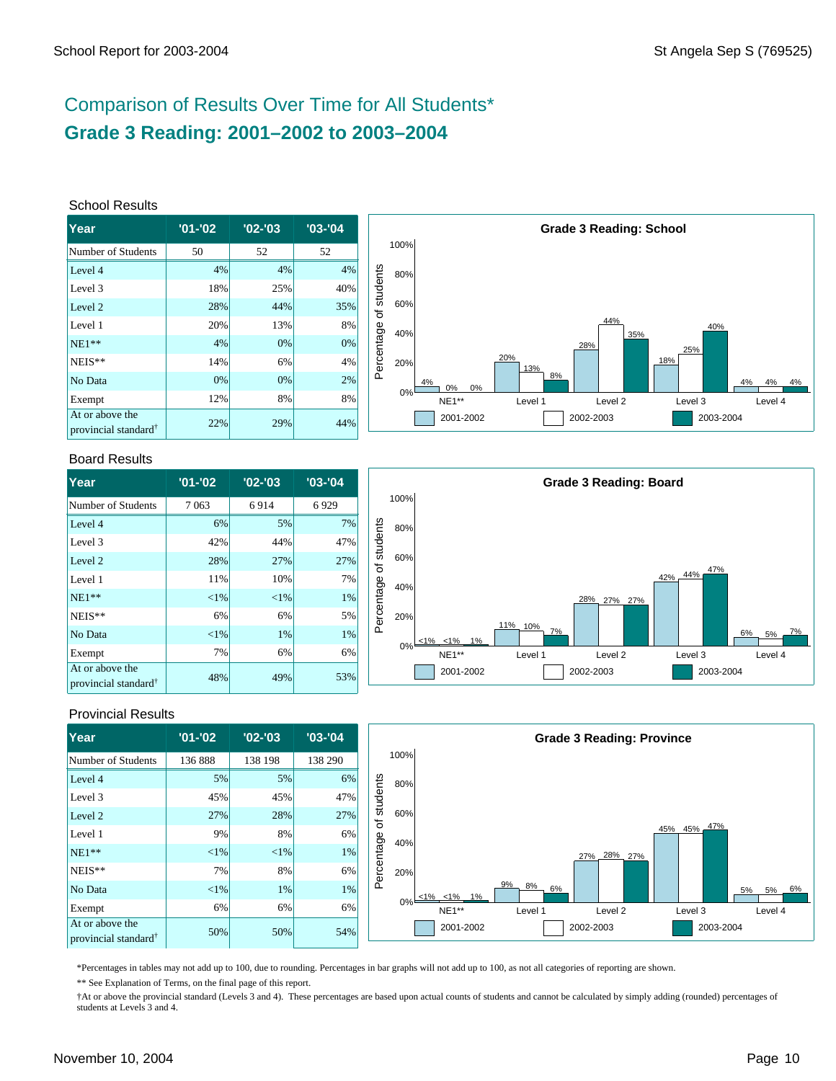# Comparison of Results Over Time for All Students\* **Grade 3 Reading: 2001–2002 to 2003–2004**

#### School Results

| Year                                                | $'01 - '02$ | $'02 -'03$ | $'03 - '04$ |
|-----------------------------------------------------|-------------|------------|-------------|
| Number of Students                                  | 50          | 52         | 52          |
| Level 4                                             | 4%          | 4%         | 4%          |
| Level 3                                             | 18%         | 25%        | 40%         |
| Level 2                                             | 28%         | 44%        | 35%         |
| Level 1                                             | 20%         | 13%        | 8%          |
| $NE1**$                                             | 4%          | 0%         | 0%          |
| NEIS**                                              | 14%         | 6%         | 4%          |
| No Data                                             | 0%          | 0%         | 2%          |
| Exempt                                              | 12%         | 8%         | 8%          |
| At or above the<br>provincial standard <sup>†</sup> | 22%         | 29%        | 44%         |



#### Board Results

| lYear                                               | $'01 - '02$ | $'02 -'03$ | $'03 -'04$ |
|-----------------------------------------------------|-------------|------------|------------|
| Number of Students                                  | 7063        | 6914       | 6929       |
| Level 4                                             | 6%          | 5%         | 7%         |
| Level 3                                             | 42%         | 44%        | 47%        |
| Level 2                                             | 28%         | 27%        | 27%        |
| Level 1                                             | 11%         | 10%        | 7%         |
| $NE1**$                                             | ${<}1\%$    | ${<}1\%$   | 1%         |
| NEIS**                                              | 6%          | 6%         | 5%         |
| No Data                                             | ${<}1\%$    | 1%         | 1%         |
| Exempt                                              | 7%          | 6%         | 6%         |
| At or above the<br>provincial standard <sup>†</sup> | 48%         | 49%        | 53%        |



### Provincial Results

| Year                                                | $'01 - '02$ | $'02 - '03$ | $'03 - '04$ |            |       |                  |                | <b>Grade 3 Reading: Province</b> |             |             |
|-----------------------------------------------------|-------------|-------------|-------------|------------|-------|------------------|----------------|----------------------------------|-------------|-------------|
| Number of Students                                  | 136888      | 138 198     | 138 290     |            | 100%  |                  |                |                                  |             |             |
| Level 4                                             | 5%          | 5%          | 6%          |            | 80%   |                  |                |                                  |             |             |
| Level 3                                             | 45%         | 45%         | 47%         | students   |       |                  |                |                                  |             |             |
| Level 2                                             | 27%         | 28%         | 27%         | ৳          | 60%   |                  |                |                                  |             |             |
| Level 1                                             | 9%          | 8%          | 6%          |            | 40%   |                  |                |                                  | 45% 45% 47% |             |
| $NE1**$                                             | $<$ 1%      | <1%         | 1%          | Percentage |       |                  |                | 27% 28% 27%                      |             |             |
| NEIS**                                              | 7%          | 8%          | 6%          |            | 20%   |                  |                |                                  |             |             |
| No Data                                             | $<$ 1%      | 1%          | $1\%$       |            |       | $<1\%$ $<1\%$ 1% | 9%<br>8%<br>6% |                                  |             | 5% 6%<br>5% |
| Exempt                                              | 6%          | 6%          | 6%          |            | $0\%$ | NE1**            | Level 1        | Level 2                          | Level 3     | Level 4     |
| At or above the<br>provincial standard <sup>†</sup> | 50%         | 50%         | 54%         |            |       | 2001-2002        |                | 2002-2003                        | 2003-2004   |             |

\*Percentages in tables may not add up to 100, due to rounding. Percentages in bar graphs will not add up to 100, as not all categories of reporting are shown.

\*\* See Explanation of Terms, on the final page of this report.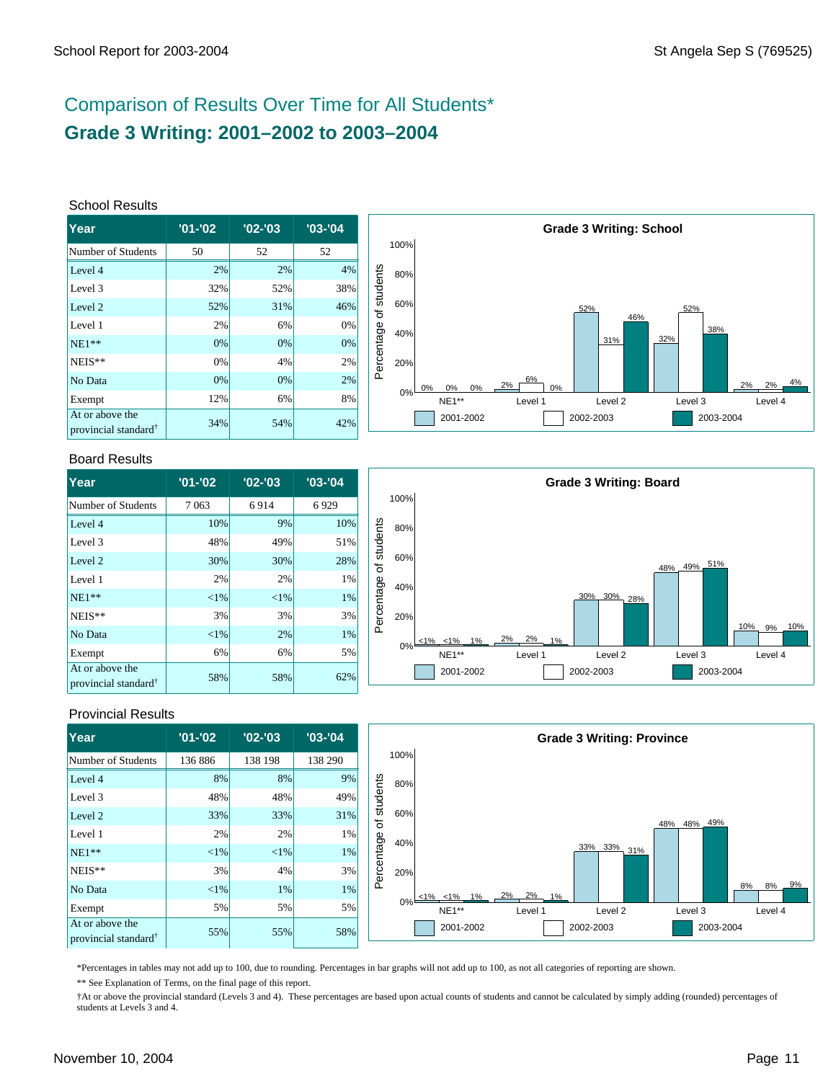# Comparison of Results Over Time for All Students\* **Grade 3 Writing: 2001–2002 to 2003–2004**

#### School Results

| Year                                                | $'01 - 02$ | $'02 -'03$ | $'03 - 04$ |
|-----------------------------------------------------|------------|------------|------------|
| Number of Students                                  | 50         | 52         | 52         |
| Level 4                                             | 2%         | 2%         | 4%         |
| Level 3                                             | 32%        | 52%        | 38%        |
| Level 2                                             | 52%        | 31%        | 46%        |
| Level 1                                             | 2%         | 6%         | 0%         |
| $NE1**$                                             | 0%         | 0%         | 0%         |
| NEIS**                                              | 0%         | 4%         | 2%         |
| No Data                                             | 0%         | 0%         | 2%         |
| Exempt                                              | 12%        | 6%         | 8%         |
| At or above the<br>provincial standard <sup>†</sup> | 34%        | 54%        | 42%        |



#### Board Results

| lYear                                               | $'01 - '02$ | $'02 -'03$ | $'03 -'04$ |
|-----------------------------------------------------|-------------|------------|------------|
| Number of Students                                  | 7063        | 6914       | 6929       |
| Level 4                                             | 10%         | 9%         | 10%        |
| Level 3                                             | 48%         | 49%        | 51%        |
| Level 2                                             | 30%         | 30%        | 28%        |
| Level 1                                             | 2%          | 2%         | $1\%$      |
| $NE1**$                                             | ${<}1\%$    | $<$ 1%     | 1%         |
| NEIS**                                              | 3%          | 3%         | 3%         |
| No Data                                             | ${<}1\%$    | 2%         | 1%         |
| Exempt                                              | 6%          | 6%         | 5%         |
| At or above the<br>provincial standard <sup>†</sup> | 58%         | 58%        | 62%        |



### Provincial Results

| Year                                                | $'01 - '02$ | $'02 - '03$ | $'03 - '04$ |            |       |                  |                   | <b>Grade 3 Writing: Province</b> |             |                |
|-----------------------------------------------------|-------------|-------------|-------------|------------|-------|------------------|-------------------|----------------------------------|-------------|----------------|
| Number of Students                                  | 136 886     | 138 198     | 138 290     |            | 100%  |                  |                   |                                  |             |                |
| Level 4                                             | 8%          | 8%          | 9%          |            | 80%   |                  |                   |                                  |             |                |
| Level 3                                             | 48%         | 48%         | 49%         | students   |       |                  |                   |                                  |             |                |
| Level 2                                             | 33%         | 33%         | 31%         | ৳          | 60%   |                  |                   |                                  | 48% 48% 49% |                |
| Level 1                                             | 2%          | 2%          | 1%          |            | 40%   |                  |                   |                                  |             |                |
| $NE1**$                                             | ${<}1\%$    | $< 1\%$     | 1%          |            |       |                  |                   | 33% 33% 31%                      |             |                |
| NEIS**                                              | 3%          | 4%          | 3%          | Percentage | 20%   |                  |                   |                                  |             |                |
| No Data                                             | ${<}1\%$    | 1%          | 1%          |            |       | $<1\%$ $<1\%$ 1% | $2\% - 2\% - 1\%$ |                                  |             | 9%<br>8%<br>8% |
| Exempt                                              | 5%          | 5%          | 5%          |            | $0\%$ | NE1**            | Level 1           | Level 2                          | Level 3     | Level 4        |
| At or above the<br>provincial standard <sup>†</sup> | 55%         | 55%         | 58%         |            |       | 2001-2002        |                   | 2002-2003                        | 2003-2004   |                |

\*Percentages in tables may not add up to 100, due to rounding. Percentages in bar graphs will not add up to 100, as not all categories of reporting are shown.

\*\* See Explanation of Terms, on the final page of this report.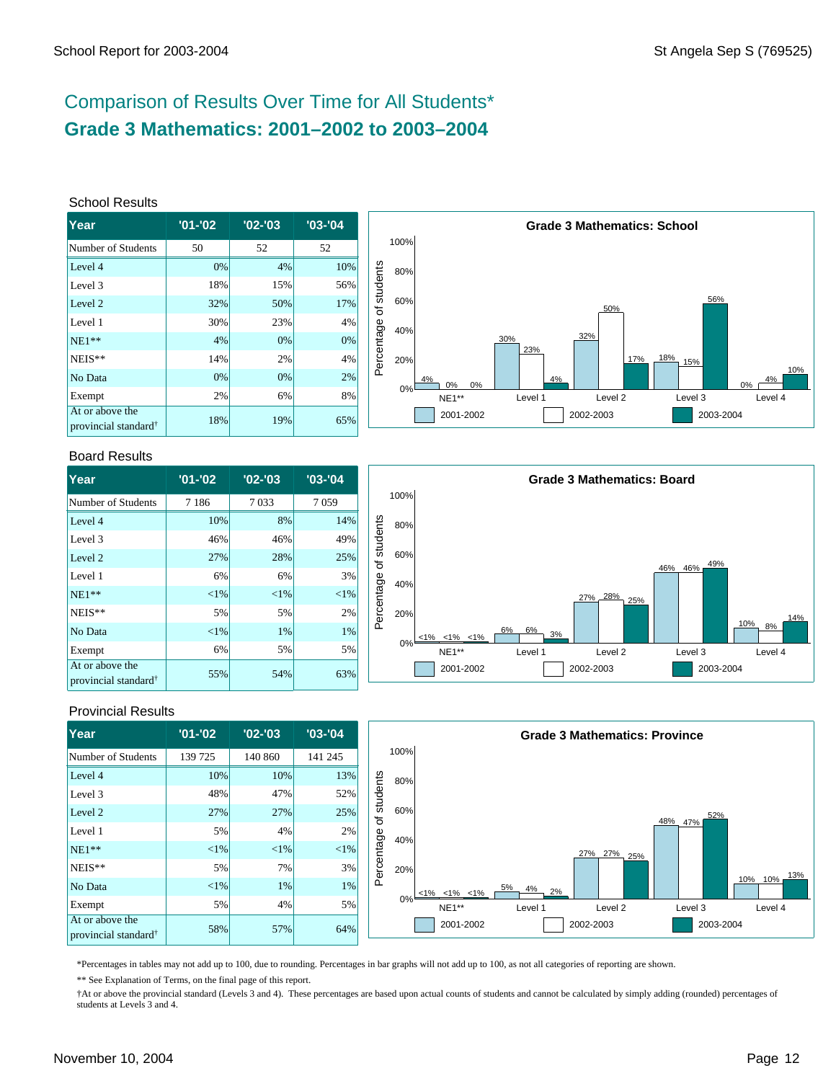# Comparison of Results Over Time for All Students\* **Grade 3 Mathematics: 2001–2002 to 2003–2004**

#### School Results

| Year                                                | $'01 - '02$ | $'02 -'03$ | $'03 -'04$ |
|-----------------------------------------------------|-------------|------------|------------|
| Number of Students                                  | 50          | 52         | 52         |
| Level 4                                             | 0%          | 4%         | 10%        |
| Level 3                                             | 18%         | 15%        | 56%        |
| Level <sub>2</sub>                                  | 32%         | 50%        | 17%        |
| Level 1                                             | 30%         | 23%        | 4%         |
| $NE1**$                                             | 4%          | 0%         | 0%         |
| NEIS**                                              | 14%         | 2%         | 4%         |
| No Data                                             | 0%          | 0%         | 2%         |
| Exempt                                              | 2%          | 6%         | 8%         |
| At or above the<br>provincial standard <sup>†</sup> | 18%         | 19%        | 65%        |



#### Board Results

| <b>Year</b>                                         | $'01 - '02$ | $'02 -'03$ | $'03 -'04$ |
|-----------------------------------------------------|-------------|------------|------------|
| Number of Students                                  | 7 1 8 6     | 7033       | 7059       |
| Level 4                                             | 10%         | 8%         | 14%        |
| Level 3                                             | 46%         | 46%        | 49%        |
| Level 2                                             | 27%         | 28%        | 25%        |
| Level 1                                             | 6%          | 6%         | 3%         |
| $NE1**$                                             | ${<}1\%$    | $<$ 1%     | $<$ 1%     |
| NEIS**                                              | 5%          | 5%         | 2%         |
| No Data                                             | ${<}1\%$    | 1%         | 1%         |
| Exempt                                              | 6%          | 5%         | 5%         |
| At or above the<br>provincial standard <sup>†</sup> | 55%         | 54%        | 63%        |



### Provincial Results

| Year                                                | $'01 - '02$ | $'02 -'03$ | $'03 - '04$ |            |      |                         |                               | <b>Grade 3 Mathematics: Province</b> |                |            |
|-----------------------------------------------------|-------------|------------|-------------|------------|------|-------------------------|-------------------------------|--------------------------------------|----------------|------------|
| Number of Students                                  | 139 725     | 140 860    | 141 245     |            | 100% |                         |                               |                                      |                |            |
| Level 4                                             | 10%         | 10%        | 13%         |            | 80%  |                         |                               |                                      |                |            |
| Level 3                                             | 48%         | 47%        | 52%         | students   |      |                         |                               |                                      |                |            |
| Level 2                                             | 27%         | 27%        | 25%         | ৳          | 60%  |                         |                               |                                      | 52%<br>48% 47% |            |
| Level 1                                             | 5%          | 4%         | 2%          |            | 40%  |                         |                               |                                      |                |            |
| $NE1**$                                             | $< 1\%$     | <1%        | $< 1\%$     |            |      |                         |                               | 27% 27%<br>25%                       |                |            |
| $NEIS**$                                            | 5%          | 7%         | 3%          | Percentage | 20%  |                         |                               |                                      |                | 13%        |
| No Data                                             | $< 1\%$     | 1%         | $1\%$       |            |      | $< 1\%$ $< 1\%$ $< 1\%$ | 5%<br>$\frac{4\%}{4\%}$<br>2% |                                      |                | 10%<br>10% |
| Exempt                                              | 5%          | 4%         | 5%          |            | 0%   | NE1**                   | Level 1                       | Level 2                              | Level 3        | Level 4    |
| At or above the<br>provincial standard <sup>†</sup> | 58%         | 57%        | 64%         |            |      | 2001-2002               |                               | 2002-2003                            | 2003-2004      |            |

\*Percentages in tables may not add up to 100, due to rounding. Percentages in bar graphs will not add up to 100, as not all categories of reporting are shown.

\*\* See Explanation of Terms, on the final page of this report.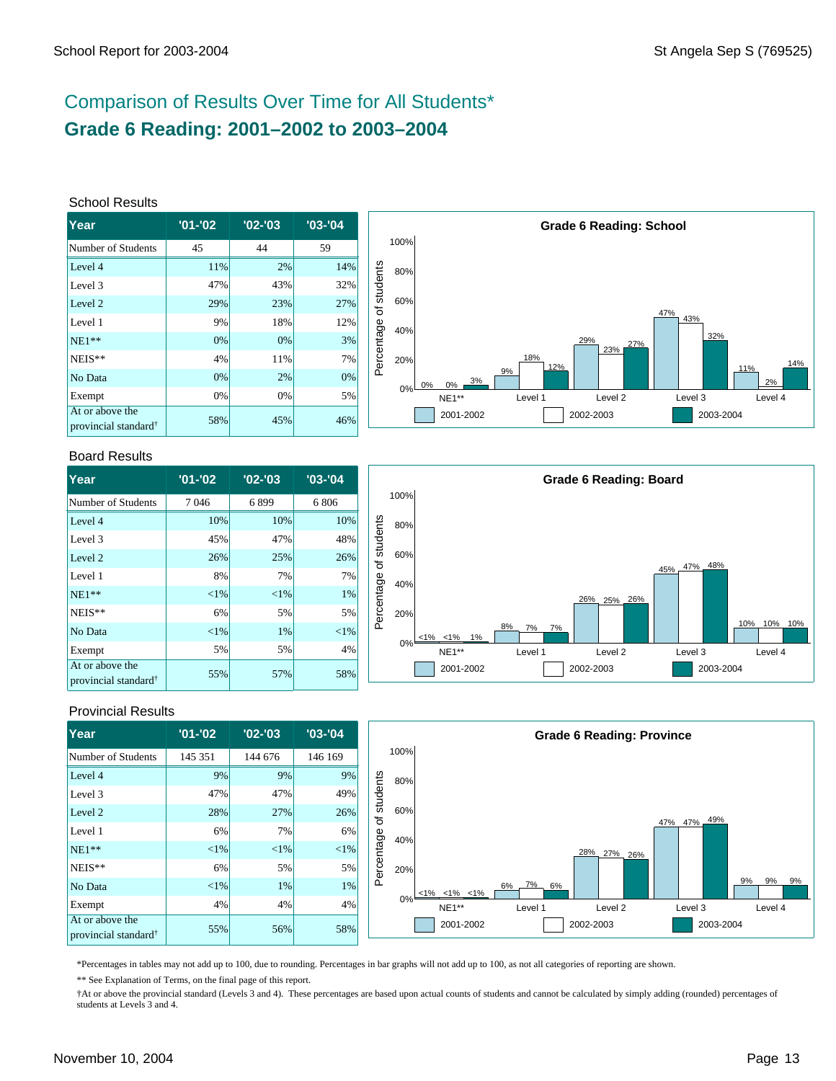# Comparison of Results Over Time for All Students\* **Grade 6 Reading: 2001–2002 to 2003–2004**

#### School Results

| lYear                                               | $'01 - '02$ | $'02 -'03$ | $'03 -'04$ |
|-----------------------------------------------------|-------------|------------|------------|
| Number of Students                                  | 45          | 44         | 59         |
| Level 4                                             | 11%         | 2%         | 14%        |
| Level 3                                             | 47%         | 43%        | 32%        |
| Level 2                                             | 29%         | 23%        | 27%        |
| Level 1                                             | 9%          | 18%        | 12%        |
| $NE1**$                                             | 0%          | 0%         | 3%         |
| NEIS**                                              | 4%          | 11%        | 7%         |
| No Data                                             | 0%          | 2%         | 0%         |
| Exempt                                              | 0%          | 0%         | 5%         |
| At or above the<br>provincial standard <sup>†</sup> | 58%         | 45%        | 46%        |



#### Board Results

| <b>Year</b>                                         | $'01 - '02$ | $'02 - '03$ | $'03 -'04$ |
|-----------------------------------------------------|-------------|-------------|------------|
| Number of Students                                  | 7046        | 6899        | 6806       |
| Level 4                                             | 10%         | 10%         | 10%        |
| Level 3                                             | 45%         | 47%         | 48%        |
| Level 2                                             | 26%         | 25%         | 26%        |
| Level 1                                             | 8%          | 7%          | 7%         |
| $NE1**$                                             | ${<}1\%$    | ${<}1\%$    | 1%         |
| NEIS**                                              | 6%          | 5%          | 5%         |
| No Data                                             | ${<}1\%$    | 1%          | $< 1\%$    |
| Exempt                                              | 5%          | 5%          | 4%         |
| At or above the<br>provincial standard <sup>†</sup> | 55%         | 57%         | 58%        |



### Provincial Results

| Year                                                | $'01 - '02$ | $'02 -'03$ | $'03 - '04$ |            |      |                |          | <b>Grade 6 Reading: Province</b> |             |                |
|-----------------------------------------------------|-------------|------------|-------------|------------|------|----------------|----------|----------------------------------|-------------|----------------|
| Number of Students                                  | 145 351     | 144 676    | 146 169     |            | 100% |                |          |                                  |             |                |
| Level 4                                             | 9%          | 9%         | $9\%$       |            | 80%  |                |          |                                  |             |                |
| Level 3                                             | 47%         | 47%        | 49%         | students   |      |                |          |                                  |             |                |
| Level 2                                             | 28%         | 27%        | 26%         | ৳          | 60%  |                |          |                                  |             |                |
| Level 1                                             | 6%          | 7%         | 6%          |            | 40%  |                |          |                                  | 47% 47% 49% |                |
| $NE1**$                                             | ${<}1\%$    | $< 1\%$    | $< 1\%$     |            |      |                |          | 28% 27%<br>.26%                  |             |                |
| $NEIS**$                                            | 6%          | 5%         | 5%          | Percentage | 20%  |                |          |                                  |             |                |
| No Data                                             | ${<}1\%$    | 1%         | 1%          |            |      | $<1\%$ <1% <1% | 6% 7% 6% |                                  |             | 9%<br>9%<br>9% |
| Exempt                                              | 4%          | 4%         | 4%          |            | 0%⊧  | NE1**          | Level 1  | Level <sub>2</sub>               | Level 3     | Level 4        |
| At or above the<br>provincial standard <sup>†</sup> | 55%         | 56%        | 58%         |            |      | 2001-2002      |          | 2002-2003                        | 2003-2004   |                |

\*Percentages in tables may not add up to 100, due to rounding. Percentages in bar graphs will not add up to 100, as not all categories of reporting are shown.

\*\* See Explanation of Terms, on the final page of this report.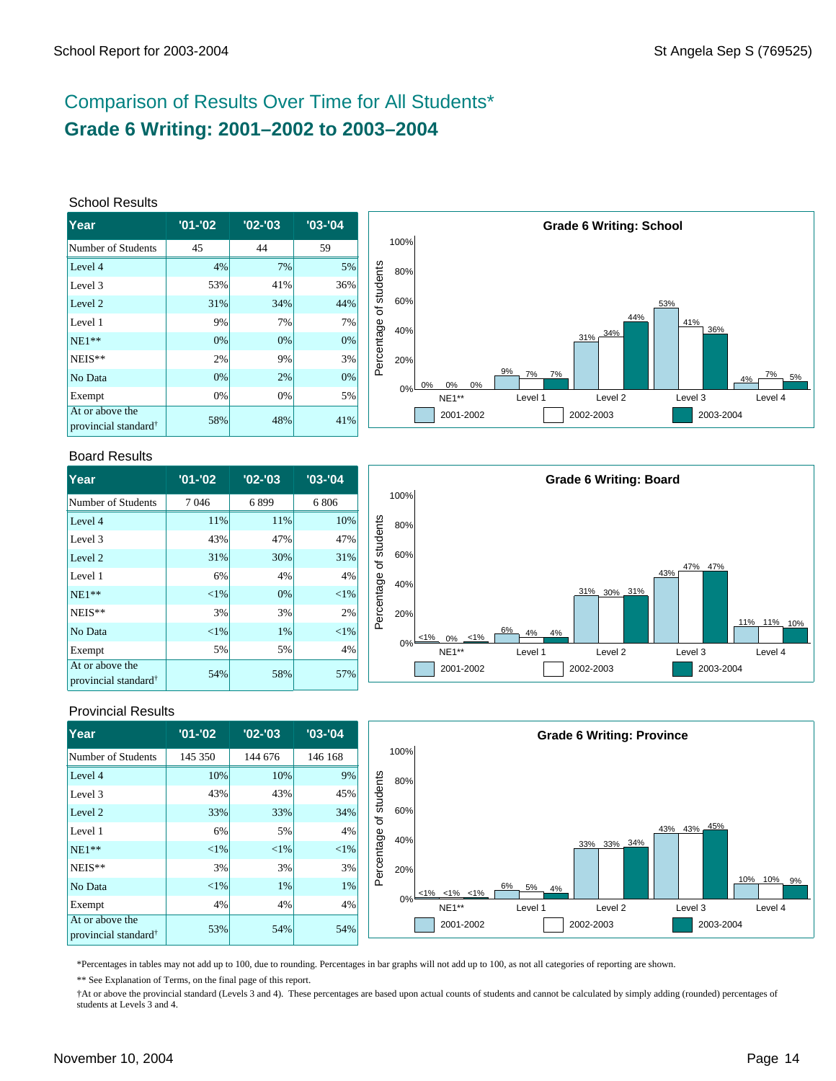# Comparison of Results Over Time for All Students\* **Grade 6 Writing: 2001–2002 to 2003–2004**

#### School Results

| <b>Year</b>                                         | $'01 - '02$ | $'02 -'03$ | $'03 -'04$ |
|-----------------------------------------------------|-------------|------------|------------|
| Number of Students                                  | 45          | 44         | 59         |
| Level 4                                             | 4%          | 7%         | 5%         |
| Level 3                                             | 53%         | 41%        | 36%        |
| Level 2                                             | 31%         | 34%        | 44%        |
| Level 1                                             | 9%          | 7%         | 7%         |
| $NE1**$                                             | 0%          | 0%         | 0%         |
| NEIS**                                              | 2%          | 9%         | 3%         |
| No Data                                             | 0%          | 2%         | 0%         |
| Exempt                                              | 0%          | 0%         | 5%         |
| At or above the<br>provincial standard <sup>†</sup> | 58%         | 48%        | 41%        |



#### Board Results

| <b>Year</b>                                         | $'01 - '02$ | $'02 -'03$ | $'03 - '04$ |
|-----------------------------------------------------|-------------|------------|-------------|
| Number of Students                                  | 7046        | 6899       | 6806        |
| Level 4                                             | 11%         | 11%        | 10%         |
| Level 3                                             | 43%         | 47%        | 47%         |
| Level 2                                             | 31%         | 30%        | 31%         |
| Level 1                                             | 6%          | 4%         | 4%          |
| $NE1**$                                             | ${<}1\%$    | 0%         | ${<}1\%$    |
| NEIS**                                              | 3%          | 3%         | 2%          |
| No Data                                             | ${<}1\%$    | 1%         | ${<}1\%$    |
| Exempt                                              | 5%          | 5%         | 4%          |
| At or above the<br>provincial standard <sup>†</sup> | 54%         | 58%        | 57%         |



### Provincial Results

| Year                                                | $'01 - '02$ | $'02 -'03$ | $'03 - '04$ |            |      |                         |                | <b>Grade 6 Writing: Province</b> |             |                  |
|-----------------------------------------------------|-------------|------------|-------------|------------|------|-------------------------|----------------|----------------------------------|-------------|------------------|
| Number of Students                                  | 145 350     | 144 676    | 146 168     |            | 100% |                         |                |                                  |             |                  |
| Level 4                                             | 10%         | 10%        | 9%          |            | 80%  |                         |                |                                  |             |                  |
| Level 3                                             | 43%         | 43%        | 45%         | students   |      |                         |                |                                  |             |                  |
| Level 2                                             | 33%         | 33%        | 34%         | ৳          | 60%  |                         |                |                                  |             |                  |
| Level 1                                             | 6%          | 5%         | 4%          |            | 40%  |                         |                |                                  | 43% 43% 45% |                  |
| $NE1**$                                             | $< 1\%$     | $ 1\% $    | $<$ 1%      | Percentage |      |                         |                | 33% 33% 34%                      |             |                  |
| $NEIS**$                                            | 3%          | 3%         | 3%          |            | 20%  |                         |                |                                  |             |                  |
| No Data                                             | $<$ 1%      | $1\%$      | 1%          |            |      | $< 1\%$ $< 1\%$ $< 1\%$ | 6%<br>5%<br>4% |                                  |             | 10%<br>10%<br>9% |
| Exempt                                              | 4%          | 4%         | 4%          |            | 0%   | NE1**                   | Level 1        | Level 2                          | Level 3     | Level 4          |
| At or above the<br>provincial standard <sup>†</sup> | 53%         | 54%        | 54%         |            |      | 2001-2002               |                | 2002-2003                        | 2003-2004   |                  |

\*Percentages in tables may not add up to 100, due to rounding. Percentages in bar graphs will not add up to 100, as not all categories of reporting are shown.

\*\* See Explanation of Terms, on the final page of this report.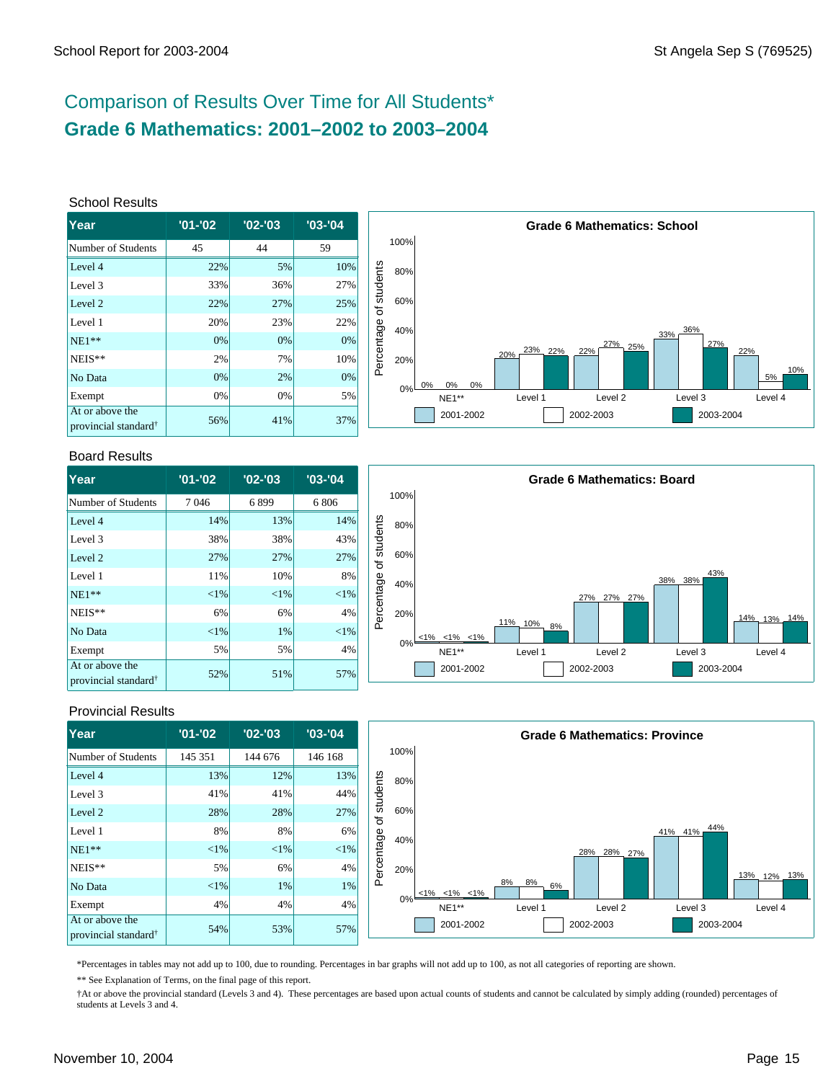# Comparison of Results Over Time for All Students\* **Grade 6 Mathematics: 2001–2002 to 2003–2004**

#### School Results

| <b>Year</b>                                         | $'01 - '02$ | $'02 -'03$ | $'03 -'04$ |
|-----------------------------------------------------|-------------|------------|------------|
| Number of Students                                  | 45          | 44         | 59         |
| Level 4                                             | 22%         | 5%         | 10%        |
| Level 3                                             | 33%         | 36%        | 27%        |
| Level 2                                             | 22%         | 27%        | 25%        |
| Level 1                                             | 20%         | 23%        | 22%        |
| $NE1**$                                             | 0%          | 0%         | 0%         |
| NEIS**                                              | 2%          | 7%         | 10%        |
| No Data                                             | 0%          | 2%         | 0%         |
| Exempt                                              | 0%          | 0%         | 5%         |
| At or above the<br>provincial standard <sup>†</sup> | 56%         | 41%        | 37%        |



#### Board Results

| <b>Year</b>                                         | $'01 - '02$ | $'02 - '03$ | $'03 -'04$ |
|-----------------------------------------------------|-------------|-------------|------------|
| Number of Students                                  | 7046        | 6899        | 6806       |
| Level 4                                             | 14%         | 13%         | 14%        |
| Level 3                                             | 38%         | 38%         | 43%        |
| Level 2                                             | 27%         | 27%         | 27%        |
| Level 1                                             | 11%         | 10%         | 8%         |
| $NE1**$                                             | ${<}1\%$    | $<$ 1%      | $<$ 1%     |
| NEIS**                                              | 6%          | 6%          | 4%         |
| No Data                                             | ${<}1\%$    | 1%          | $<$ 1%     |
| Exempt                                              | 5%          | 5%          | 4%         |
| At or above the<br>provincial standard <sup>†</sup> | 52%         | 51%         | 57%        |



### Provincial Results

| Year                                                | $'01 - '02$ | $'02 - '03$ | $'03 - '04$ |            |      |                         |                | <b>Grade 6 Mathematics: Province</b> |                |             |
|-----------------------------------------------------|-------------|-------------|-------------|------------|------|-------------------------|----------------|--------------------------------------|----------------|-------------|
| Number of Students                                  | 145 351     | 144 676     | 146 168     |            | 100% |                         |                |                                      |                |             |
| Level 4                                             | 13%         | 12%         | 13%         |            | 80%  |                         |                |                                      |                |             |
| Level 3                                             | 41%         | 41%         | 44%         | students   |      |                         |                |                                      |                |             |
| Level 2                                             | 28%         | 28%         | 27%         | ৳          | 60%  |                         |                |                                      |                |             |
| Level 1                                             | 8%          | 8%          | 6%          |            | 40%  |                         |                |                                      | 44%<br>41% 41% |             |
| $NE1**$                                             | $<$ 1%      | $< 1\%$     | <1%         | Percentage |      |                         |                | 28% 28%<br>27%                       |                |             |
| NEIS**                                              | 5%          | 6%          | 4%          |            | 20%  |                         |                |                                      |                | 13% 12% 13% |
| No Data                                             | $<$ 1%      | 1%          | $1\%$       |            |      | $< 1\%$ $< 1\%$ $< 1\%$ | 8%<br>8%<br>6% |                                      |                |             |
| Exempt                                              | 4%          | 4%          | 4%          |            | 0%   | NE1**                   | Level 1        | Level 2                              | Level 3        | Level 4     |
| At or above the<br>provincial standard <sup>†</sup> | 54%         | 53%         | 57%         |            |      | 2001-2002               |                | 2002-2003                            | 2003-2004      |             |

\*Percentages in tables may not add up to 100, due to rounding. Percentages in bar graphs will not add up to 100, as not all categories of reporting are shown.

\*\* See Explanation of Terms, on the final page of this report.